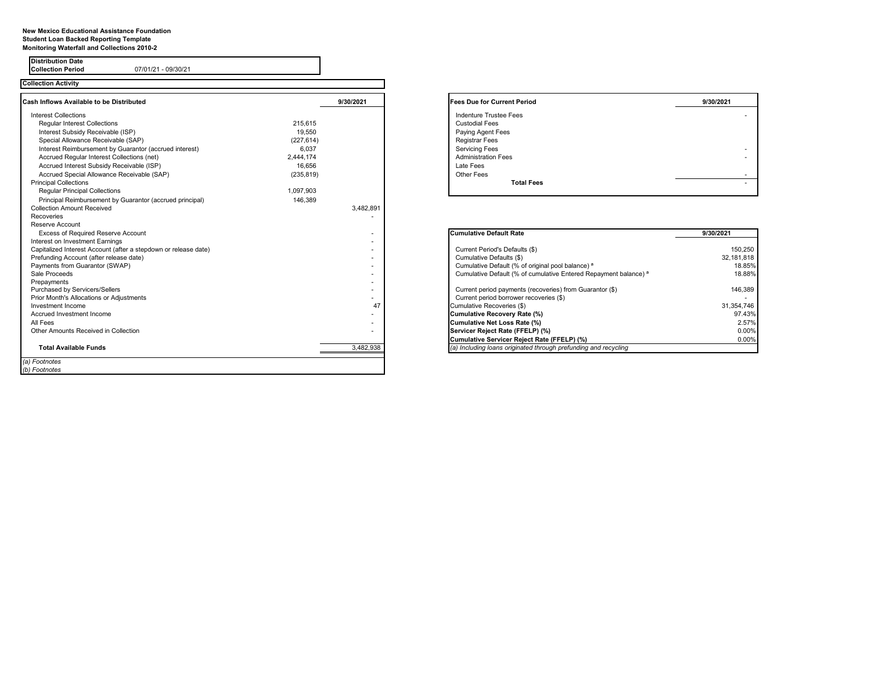## **New Mexico Educational Assistance Foundation Student Loan Backed Reporting Template Monitoring Waterfall and Collections 2010-2**

**Collection Period** 07/01/21 - 09/30/21

**Distribution Date**

| <b>Collection Activity</b>                                      |            |           |                                                                             |            |
|-----------------------------------------------------------------|------------|-----------|-----------------------------------------------------------------------------|------------|
| <b>Cash Inflows Available to be Distributed</b>                 |            | 9/30/2021 | <b>Fees Due for Current Period</b>                                          | 9/30/2021  |
| <b>Interest Collections</b>                                     |            |           | <b>Indenture Trustee Fees</b>                                               |            |
| <b>Regular Interest Collections</b>                             | 215.615    |           | <b>Custodial Fees</b>                                                       |            |
| Interest Subsidy Receivable (ISP)                               | 19.550     |           | Paying Agent Fees                                                           |            |
| Special Allowance Receivable (SAP)                              | (227, 614) |           | <b>Registrar Fees</b>                                                       |            |
| Interest Reimbursement by Guarantor (accrued interest)          | 6.037      |           | <b>Servicing Fees</b>                                                       |            |
| Accrued Regular Interest Collections (net)                      | 2.444.174  |           | <b>Administration Fees</b>                                                  |            |
| Accrued Interest Subsidy Receivable (ISP)                       | 16.656     |           | Late Fees                                                                   |            |
| Accrued Special Allowance Receivable (SAP)                      | (235, 819) |           | Other Fees                                                                  |            |
| <b>Principal Collections</b>                                    |            |           | <b>Total Fees</b>                                                           |            |
| <b>Regular Principal Collections</b>                            | 1,097,903  |           |                                                                             |            |
| Principal Reimbursement by Guarantor (accrued principal)        | 146,389    |           |                                                                             |            |
| <b>Collection Amount Received</b>                               |            | 3,482,891 |                                                                             |            |
| Recoveries                                                      |            |           |                                                                             |            |
| <b>Reserve Account</b>                                          |            |           |                                                                             |            |
| <b>Excess of Required Reserve Account</b>                       |            |           | <b>Cumulative Default Rate</b>                                              | 9/30/2021  |
| Interest on Investment Earnings                                 |            |           |                                                                             |            |
| Capitalized Interest Account (after a stepdown or release date) |            |           | Current Period's Defaults (\$)                                              | 150,250    |
| Prefunding Account (after release date)                         |            |           | Cumulative Defaults (\$)                                                    | 32,181,818 |
| Payments from Guarantor (SWAP)                                  |            |           | Cumulative Default (% of original pool balance) a                           | 18.85%     |
| Sale Proceeds                                                   |            |           | Cumulative Default (% of cumulative Entered Repayment balance) <sup>a</sup> | 18.88%     |
| Prepayments                                                     |            |           |                                                                             |            |
| Purchased by Servicers/Sellers                                  |            |           | Current period payments (recoveries) from Guarantor (\$)                    | 146,389    |
| Prior Month's Allocations or Adjustments                        |            |           | Current period borrower recoveries (\$)                                     |            |
| Investment Income                                               |            | 47        | Cumulative Recoveries (\$)                                                  | 31,354,746 |
| Accrued Investment Income                                       |            |           | Cumulative Recovery Rate (%)                                                | 97.43%     |
| All Fees                                                        |            |           | Cumulative Net Loss Rate (%)                                                | 2.57%      |
| Other Amounts Received in Collection                            |            | ٠         | Servicer Reject Rate (FFELP) (%)                                            | 0.00%      |
|                                                                 |            |           | Cumulative Servicer Reject Rate (FFELP) (%)                                 | 0.00%      |
| <b>Total Available Funds</b>                                    |            | 3,482,938 | (a) Including loans originated through prefunding and recycling             |            |
| (a) Footnotes                                                   |            |           |                                                                             |            |
| (b) Footnotes                                                   |            |           |                                                                             |            |

| <b>Fees Due for Current Period</b> | 9/30/2021 |
|------------------------------------|-----------|
| <b>Indenture Trustee Fees</b>      |           |
| <b>Custodial Fees</b>              |           |
| Paying Agent Fees                  |           |
| Registrar Fees                     |           |
| <b>Servicing Fees</b>              | ۰         |
| <b>Administration Fees</b>         | ۰         |
| Late Fees                          |           |
| Other Fees                         |           |
| <b>Total Fees</b>                  | -         |
|                                    |           |

| <b>Cumulative Default Rate</b>                                              | 9/30/2021  |  |  |
|-----------------------------------------------------------------------------|------------|--|--|
|                                                                             |            |  |  |
| Current Period's Defaults (\$)                                              | 150.250    |  |  |
| Cumulative Defaults (\$)                                                    | 32.181.818 |  |  |
| Cumulative Default (% of original pool balance) a                           | 18.85%     |  |  |
| Cumulative Default (% of cumulative Entered Repayment balance) <sup>a</sup> | 18.88%     |  |  |
| Current period payments (recoveries) from Guarantor (\$)                    | 146.389    |  |  |
| Current period borrower recoveries (\$)                                     |            |  |  |
| Cumulative Recoveries (\$)                                                  | 31.354.746 |  |  |
| Cumulative Recovery Rate (%)                                                | 97.43%     |  |  |
| Cumulative Net Loss Rate (%)                                                | 2.57%      |  |  |
| Servicer Reject Rate (FFELP) (%)                                            | $0.00\%$   |  |  |
| Cumulative Servicer Reject Rate (FFELP) (%)                                 | $0.00\%$   |  |  |
| (a) Including loans originated through prefunding and recycling             |            |  |  |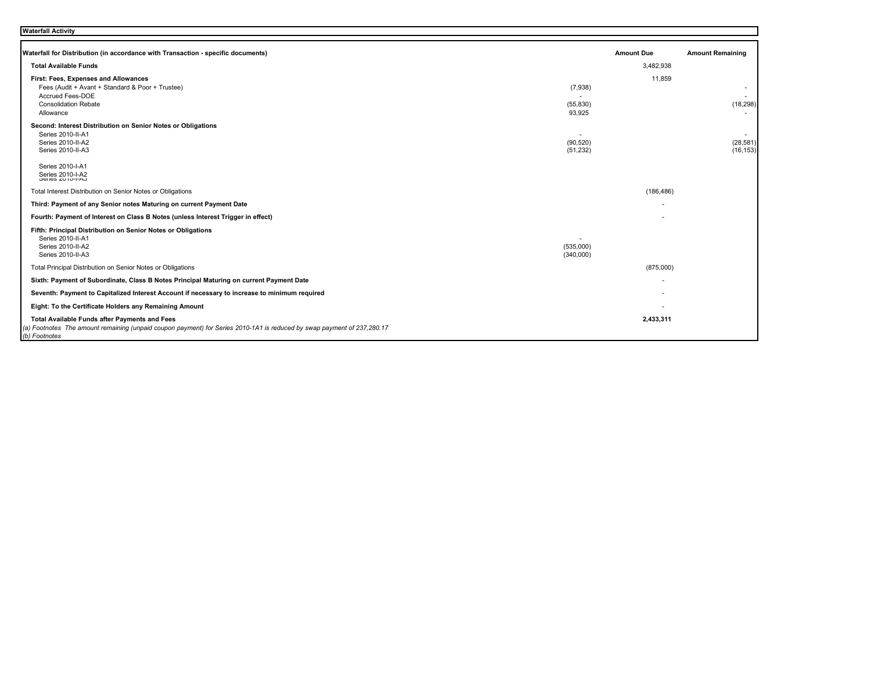| Waterfall Activity |  |
|--------------------|--|
|--------------------|--|

| Waterfall for Distribution (in accordance with Transaction - specific documents)                                                         |                        | <b>Amount Due</b> | <b>Amount Remaining</b> |
|------------------------------------------------------------------------------------------------------------------------------------------|------------------------|-------------------|-------------------------|
| <b>Total Available Funds</b>                                                                                                             |                        | 3,482,938         |                         |
| First: Fees, Expenses and Allowances                                                                                                     |                        | 11,859            |                         |
| Fees (Audit + Avant + Standard & Poor + Trustee)                                                                                         | (7,938)                |                   |                         |
| <b>Accrued Fees-DOE</b><br><b>Consolidation Rebate</b>                                                                                   | (55, 830)              |                   | (18, 298)               |
| Allowance                                                                                                                                | 93.925                 |                   |                         |
| Second: Interest Distribution on Senior Notes or Obligations                                                                             |                        |                   |                         |
| Series 2010-II-A1<br>Series 2010-II-A2                                                                                                   |                        |                   |                         |
| Series 2010-II-A3                                                                                                                        | (90, 520)<br>(51, 232) |                   | (28, 581)<br>(16, 153)  |
|                                                                                                                                          |                        |                   |                         |
| Series 2010-I-A1                                                                                                                         |                        |                   |                         |
| Series 2010-I-A2                                                                                                                         |                        |                   |                         |
| Total Interest Distribution on Senior Notes or Obligations                                                                               |                        | (186, 486)        |                         |
| Third: Payment of any Senior notes Maturing on current Payment Date                                                                      |                        |                   |                         |
| Fourth: Payment of Interest on Class B Notes (unless Interest Trigger in effect)                                                         |                        |                   |                         |
| Fifth: Principal Distribution on Senior Notes or Obligations                                                                             |                        |                   |                         |
| Series 2010-II-A1<br>Series 2010-II-A2                                                                                                   | (535,000)              |                   |                         |
| Series 2010-II-A3                                                                                                                        | (340,000)              |                   |                         |
| Total Principal Distribution on Senior Notes or Obligations                                                                              |                        | (875,000)         |                         |
| Sixth: Payment of Subordinate, Class B Notes Principal Maturing on current Payment Date                                                  |                        |                   |                         |
| Seventh: Payment to Capitalized Interest Account if necessary to increase to minimum required                                            |                        |                   |                         |
| Eight: To the Certificate Holders any Remaining Amount                                                                                   |                        |                   |                         |
| Total Available Funds after Payments and Fees                                                                                            |                        | 2,433,311         |                         |
| (a) Footnotes The amount remaining (unpaid coupon payment) for Series 2010-1A1 is reduced by swap payment of 237,280.17<br>(b) Footnotes |                        |                   |                         |